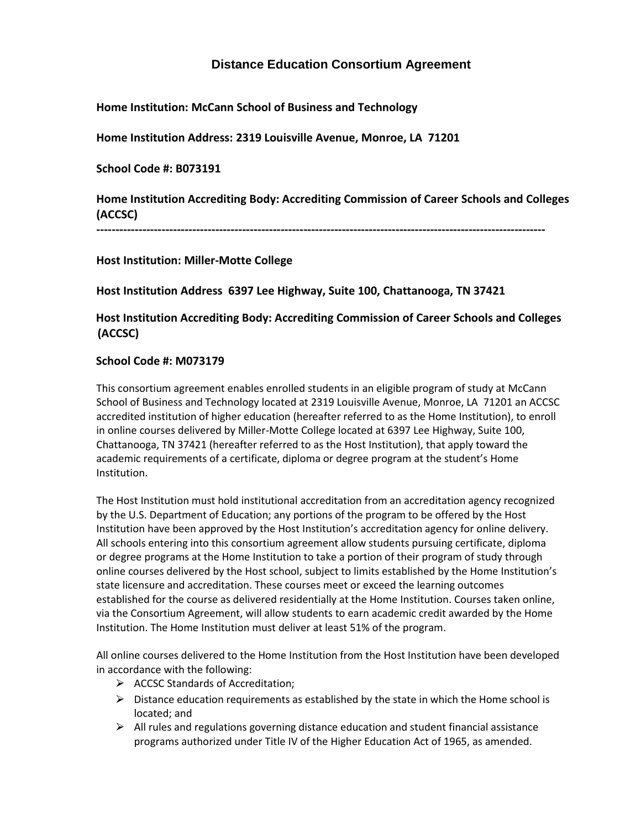# **Distance Education Consortium Agreement**

**Home Institution: McCann School of Business and Technology**

**Home Institution Address: 2319 Louisville Avenue, Monroe, LA 71201**

**School Code #: B073191**

**Home Institution Accrediting Body: Accrediting Commission of Career Schools and Colleges (ACCSC)**

**---------------------------------------------------------------------------------------------------------------------**

**Host Institution: Miller-Motte College**

**Host Institution Address 6397 Lee Highway, Suite 100, Chattanooga, TN 37421**

# **Host Institution Accrediting Body: Accrediting Commission of Career Schools and Colleges (ACCSC)**

## **School Code #: M073179**

This consortium agreement enables enrolled students in an eligible program of study at McCann School of Business and Technology located at 2319 Louisville Avenue, Monroe, LA 71201 an ACCSC accredited institution of higher education (hereafter referred to as the Home Institution), to enroll in online courses delivered by Miller-Motte College located at 6397 Lee Highway, Suite 100, Chattanooga, TN 37421 (hereafter referred to as the Host Institution), that apply toward the academic requirements of a certificate, diploma or degree program at the student's Home Institution.

The Host Institution must hold institutional accreditation from an accreditation agency recognized by the U.S. Department of Education; any portions of the program to be offered by the Host Institution have been approved by the Host Institution's accreditation agency for online delivery. All schools entering into this consortium agreement allow students pursuing certificate, diploma or degree programs at the Home Institution to take a portion of their program of study through online courses delivered by the Host school, subject to limits established by the Home Institution's state licensure and accreditation. These courses meet or exceed the learning outcomes established for the course as delivered residentially at the Home Institution. Courses taken online, via the Consortium Agreement, will allow students to earn academic credit awarded by the Home Institution. The Home Institution must deliver at least 51% of the program.

All online courses delivered to the Home Institution from the Host Institution have been developed in accordance with the following:

- $\triangleright$  ACCSC Standards of Accreditation;
- $\triangleright$  Distance education requirements as established by the state in which the Home school is located; and
- $\triangleright$  All rules and regulations governing distance education and student financial assistance programs authorized under Title IV of the Higher Education Act of 1965, as amended.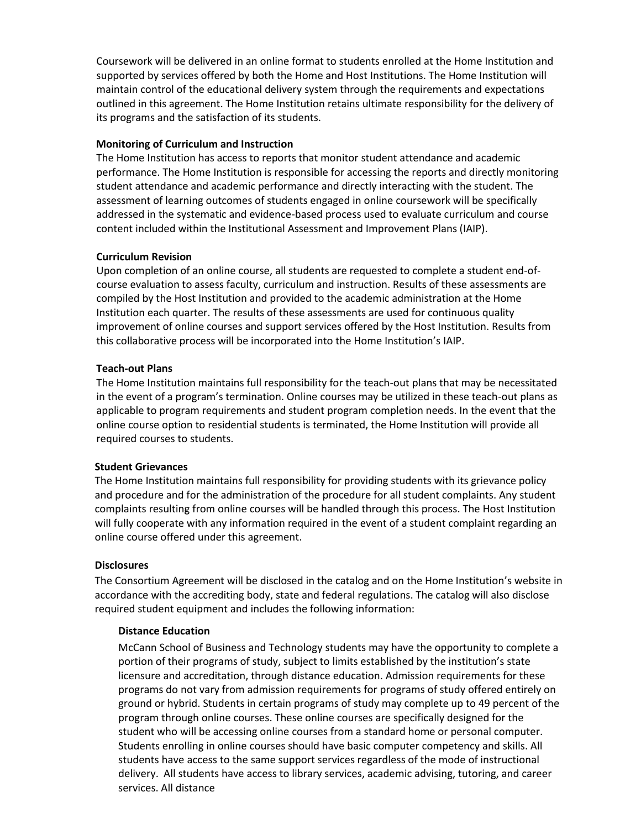Coursework will be delivered in an online format to students enrolled at the Home Institution and supported by services offered by both the Home and Host Institutions. The Home Institution will maintain control of the educational delivery system through the requirements and expectations outlined in this agreement. The Home Institution retains ultimate responsibility for the delivery of its programs and the satisfaction of its students.

## **Monitoring of Curriculum and Instruction**

The Home Institution has access to reports that monitor student attendance and academic performance. The Home Institution is responsible for accessing the reports and directly monitoring student attendance and academic performance and directly interacting with the student. The assessment of learning outcomes of students engaged in online coursework will be specifically addressed in the systematic and evidence-based process used to evaluate curriculum and course content included within the Institutional Assessment and Improvement Plans (IAIP).

#### **Curriculum Revision**

Upon completion of an online course, all students are requested to complete a student end-ofcourse evaluation to assess faculty, curriculum and instruction. Results of these assessments are compiled by the Host Institution and provided to the academic administration at the Home Institution each quarter. The results of these assessments are used for continuous quality improvement of online courses and support services offered by the Host Institution. Results from this collaborative process will be incorporated into the Home Institution's IAIP.

#### **Teach-out Plans**

The Home Institution maintains full responsibility for the teach-out plans that may be necessitated in the event of a program's termination. Online courses may be utilized in these teach-out plans as applicable to program requirements and student program completion needs. In the event that the online course option to residential students is terminated, the Home Institution will provide all required courses to students.

#### **Student Grievances**

The Home Institution maintains full responsibility for providing students with its grievance policy and procedure and for the administration of the procedure for all student complaints. Any student complaints resulting from online courses will be handled through this process. The Host Institution will fully cooperate with any information required in the event of a student complaint regarding an online course offered under this agreement.

#### **Disclosures**

The Consortium Agreement will be disclosed in the catalog and on the Home Institution's website in accordance with the accrediting body, state and federal regulations. The catalog will also disclose required student equipment and includes the following information:

#### **Distance Education**

McCann School of Business and Technology students may have the opportunity to complete a portion of their programs of study, subject to limits established by the institution's state licensure and accreditation, through distance education. Admission requirements for these programs do not vary from admission requirements for programs of study offered entirely on ground or hybrid. Students in certain programs of study may complete up to 49 percent of the program through online courses. These online courses are specifically designed for the student who will be accessing online courses from a standard home or personal computer. Students enrolling in online courses should have basic computer competency and skills. All students have access to the same support services regardless of the mode of instructional delivery. All students have access to library services, academic advising, tutoring, and career services. All distance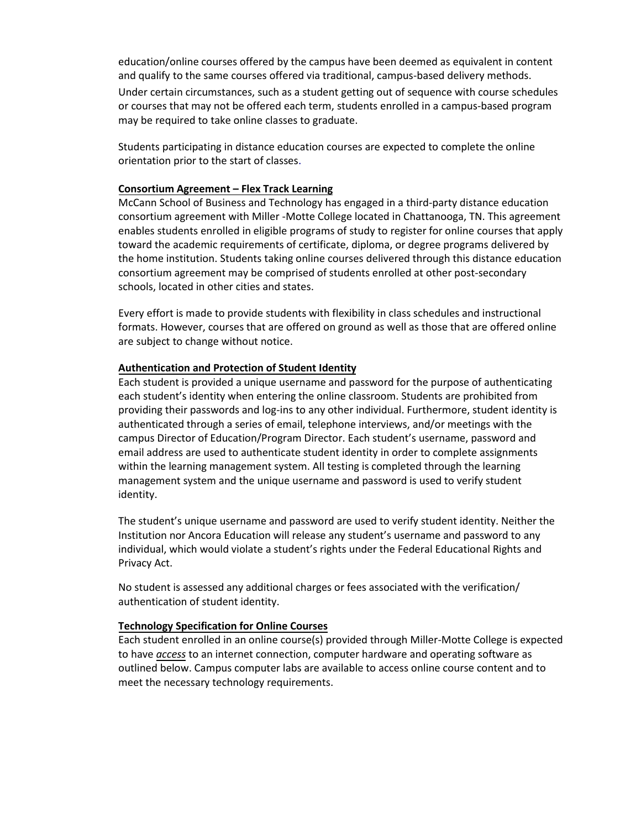education/online courses offered by the campus have been deemed as equivalent in content and qualify to the same courses offered via traditional, campus-based delivery methods. Under certain circumstances, such as a student getting out of sequence with course schedules or courses that may not be offered each term, students enrolled in a campus-based program may be required to take online classes to graduate.

Students participating in distance education courses are expected to complete the online orientation prior to the start of classes.

#### **Consortium Agreement – Flex Track Learning**

McCann School of Business and Technology has engaged in a third-party distance education consortium agreement with Miller -Motte College located in Chattanooga, TN. This agreement enables students enrolled in eligible programs of study to register for online courses that apply toward the academic requirements of certificate, diploma, or degree programs delivered by the home institution. Students taking online courses delivered through this distance education consortium agreement may be comprised of students enrolled at other post-secondary schools, located in other cities and states.

Every effort is made to provide students with flexibility in class schedules and instructional formats. However, courses that are offered on ground as well as those that are offered online are subject to change without notice.

#### **Authentication and Protection of Student Identity**

Each student is provided a unique username and password for the purpose of authenticating each student's identity when entering the online classroom. Students are prohibited from providing their passwords and log-ins to any other individual. Furthermore, student identity is authenticated through a series of email, telephone interviews, and/or meetings with the campus Director of Education/Program Director. Each student's username, password and email address are used to authenticate student identity in order to complete assignments within the learning management system. All testing is completed through the learning management system and the unique username and password is used to verify student identity.

The student's unique username and password are used to verify student identity. Neither the Institution nor Ancora Education will release any student's username and password to any individual, which would violate a student's rights under the Federal Educational Rights and Privacy Act.

No student is assessed any additional charges or fees associated with the verification/ authentication of student identity.

#### **Technology Specification for Online Courses**

Each student enrolled in an online course(s) provided through Miller-Motte College is expected to have *access* to an internet connection, computer hardware and operating software as outlined below. Campus computer labs are available to access online course content and to meet the necessary technology requirements.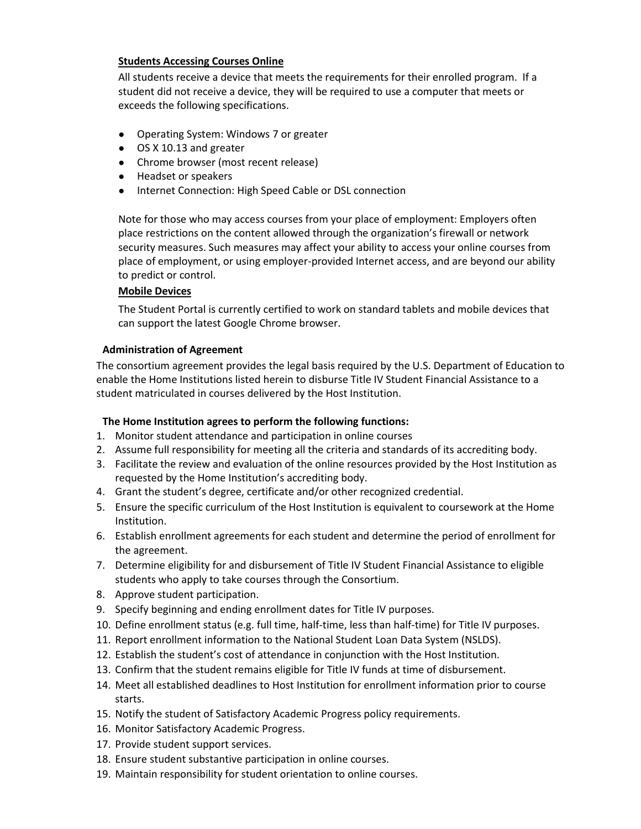## **Students Accessing Courses Online**

All students receive a device that meets the requirements for their enrolled program. If a student did not receive a device, they will be required to use a computer that meets or exceeds the following specifications.

- Operating System: Windows 7 or greater
- OS X 10.13 and greater
- Chrome browser (most recent release)
- Headset or speakers
- Internet Connection: High Speed Cable or DSL connection

Note for those who may access courses from your place of employment: Employers often place restrictions on the content allowed through the organization's firewall or network security measures. Such measures may affect your ability to access your online courses from place of employment, or using employer-provided Internet access, and are beyond our ability to predict or control.

## **Mobile Devices**

The Student Portal is currently certified to work on standard tablets and mobile devices that can support the latest Google Chrome browser.

## **Administration of Agreement**

The consortium agreement provides the legal basis required by the U.S. Department of Education to enable the Home Institutions listed herein to disburse Title IV Student Financial Assistance to a student matriculated in courses delivered by the Host Institution.

## **The Home Institution agrees to perform the following functions:**

- 1. Monitor student attendance and participation in online courses
- 2. Assume full responsibility for meeting all the criteria and standards of its accrediting body.
- 3. Facilitate the review and evaluation of the online resources provided by the Host Institution as requested by the Home Institution's accrediting body.
- 4. Grant the student's degree, certificate and/or other recognized credential.
- 5. Ensure the specific curriculum of the Host Institution is equivalent to coursework at the Home Institution.
- 6. Establish enrollment agreements for each student and determine the period of enrollment for the agreement.
- 7. Determine eligibility for and disbursement of Title IV Student Financial Assistance to eligible students who apply to take courses through the Consortium.
- 8. Approve student participation.
- 9. Specify beginning and ending enrollment dates for Title IV purposes.
- 10. Define enrollment status (e.g. full time, half-time, less than half-time) for Title IV purposes.
- 11. Report enrollment information to the National Student Loan Data System (NSLDS).
- 12. Establish the student's cost of attendance in conjunction with the Host Institution.
- 13. Confirm that the student remains eligible for Title IV funds at time of disbursement.
- 14. Meet all established deadlines to Host Institution for enrollment information prior to course starts.
- 15. Notify the student of Satisfactory Academic Progress policy requirements.
- 16. Monitor Satisfactory Academic Progress.
- 17. Provide student support services.
- 18. Ensure student substantive participation in online courses.
- 19. Maintain responsibility for student orientation to online courses.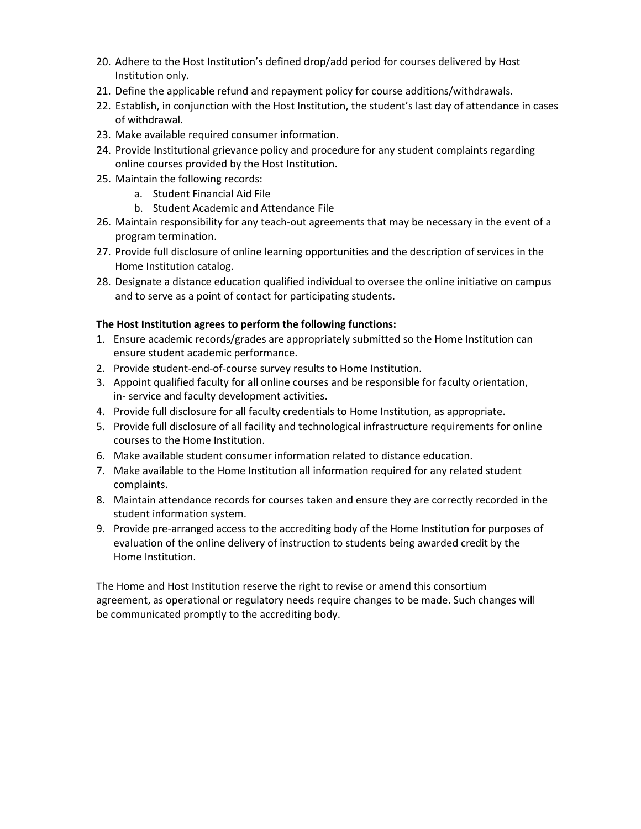- 20. Adhere to the Host Institution's defined drop/add period for courses delivered by Host Institution only.
- 21. Define the applicable refund and repayment policy for course additions/withdrawals.
- 22. Establish, in conjunction with the Host Institution, the student's last day of attendance in cases of withdrawal.
- 23. Make available required consumer information.
- 24. Provide Institutional grievance policy and procedure for any student complaints regarding online courses provided by the Host Institution.
- 25. Maintain the following records:
	- a. Student Financial Aid File
	- b. Student Academic and Attendance File
- 26. Maintain responsibility for any teach-out agreements that may be necessary in the event of a program termination.
- 27. Provide full disclosure of online learning opportunities and the description of services in the Home Institution catalog.
- 28. Designate a distance education qualified individual to oversee the online initiative on campus and to serve as a point of contact for participating students.

## **The Host Institution agrees to perform the following functions:**

- 1. Ensure academic records/grades are appropriately submitted so the Home Institution can ensure student academic performance.
- 2. Provide student-end-of-course survey results to Home Institution.
- 3. Appoint qualified faculty for all online courses and be responsible for faculty orientation, in- service and faculty development activities.
- 4. Provide full disclosure for all faculty credentials to Home Institution, as appropriate.
- 5. Provide full disclosure of all facility and technological infrastructure requirements for online courses to the Home Institution.
- 6. Make available student consumer information related to distance education.
- 7. Make available to the Home Institution all information required for any related student complaints.
- 8. Maintain attendance records for courses taken and ensure they are correctly recorded in the student information system.
- 9. Provide pre-arranged access to the accrediting body of the Home Institution for purposes of evaluation of the online delivery of instruction to students being awarded credit by the Home Institution.

The Home and Host Institution reserve the right to revise or amend this consortium agreement, as operational or regulatory needs require changes to be made. Such changes will be communicated promptly to the accrediting body.